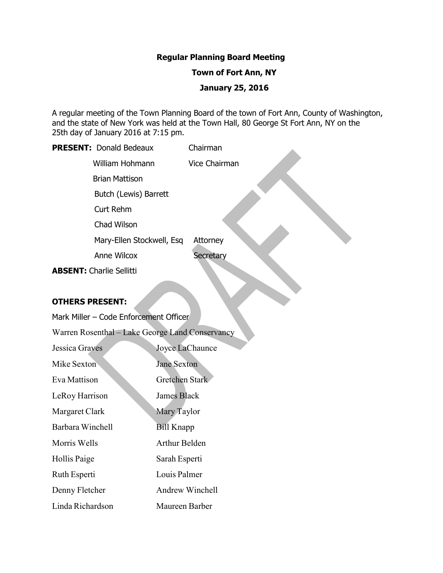#### **Regular Planning Board Meeting**

#### **Town of Fort Ann, NY**

#### **January 25, 2016**

A regular meeting of the Town Planning Board of the town of Fort Ann, County of Washington, and the state of New York was held at the Town Hall, 80 George St Fort Ann, NY on the 25th day of January 2016 at 7:15 pm.

# **PRESENT:** Donald Bedeaux Chairman William Hohmann Vice Chairman Brian Mattison Butch (Lewis) Barrett Curt Rehm Chad Wilson

Mary-Ellen Stockwell, Esq Attorney

Anne Wilcox Secretary

**ABSENT:** Charlie Sellitti

# **OTHERS PRESENT:**

Mark Miller – Code Enforcement Officer

Warren Rosenthal – Lake George Land Conservancy

| <b>Jessica Graves</b> | Joyce LaChaunce       |
|-----------------------|-----------------------|
| Mike Sexton           | <b>Jane Sexton</b>    |
| Eva Mattison          | <b>Gretchen Stark</b> |
| LeRoy Harrison        | James Black           |
| Margaret Clark        | Mary Taylor           |
| Barbara Winchell      | <b>Bill Knapp</b>     |
| Morris Wells          | <b>Arthur Belden</b>  |
| Hollis Paige          | Sarah Esperti         |
| Ruth Esperti          | Louis Palmer          |
| Denny Fletcher        | Andrew Winchell       |
| Linda Richardson      | Maureen Barber        |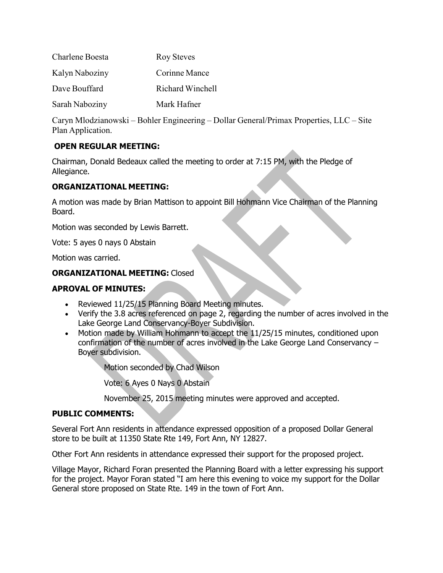| Charlene Boesta | <b>Roy Steves</b> |
|-----------------|-------------------|
| Kalyn Naboziny  | Corinne Mance     |
| Dave Bouffard   | Richard Winchell  |
| Sarah Naboziny  | Mark Hafner       |

Caryn Mlodzianowski – Bohler Engineering – Dollar General/Primax Properties, LLC – Site Plan Application.

# **OPEN REGULAR MEETING:**

Chairman, Donald Bedeaux called the meeting to order at 7:15 PM, with the Pledge of Allegiance.

# **ORGANIZATIONAL MEETING:**

A motion was made by Brian Mattison to appoint Bill Hohmann Vice Chairman of the Planning Board.

Motion was seconded by Lewis Barrett.

Vote: 5 ayes 0 nays 0 Abstain

Motion was carried.

# **ORGANIZATIONAL MEETING:** Closed

# **APROVAL OF MINUTES:**

- Reviewed 11/25/15 Planning Board Meeting minutes.
- Verify the 3.8 acres referenced on page 2, regarding the number of acres involved in the Lake George Land Conservancy-Boyer Subdivision.
- Motion made by William Hohmann to accept the 11/25/15 minutes, conditioned upon confirmation of the number of acres involved in the Lake George Land Conservancy – Boyer subdivision.

Motion seconded by Chad Wilson

Vote: 6 Ayes 0 Nays 0 Abstain

November 25, 2015 meeting minutes were approved and accepted.

# **PUBLIC COMMENTS:**

Several Fort Ann residents in attendance expressed opposition of a proposed Dollar General store to be built at 11350 State Rte 149, Fort Ann, NY 12827.

Other Fort Ann residents in attendance expressed their support for the proposed project.

Village Mayor, Richard Foran presented the Planning Board with a letter expressing his support for the project. Mayor Foran stated "I am here this evening to voice my support for the Dollar General store proposed on State Rte. 149 in the town of Fort Ann.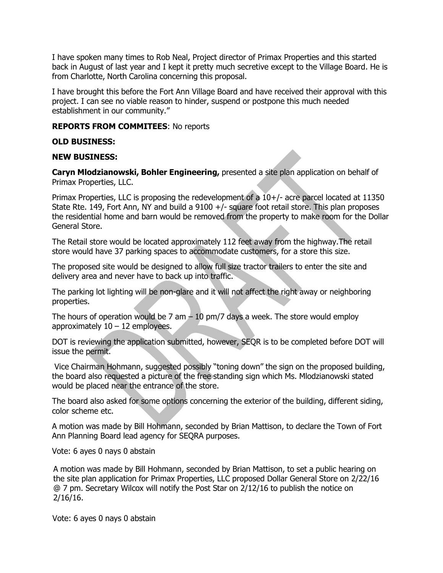I have spoken many times to Rob Neal, Project director of Primax Properties and this started back in August of last year and I kept it pretty much secretive except to the Village Board. He is from Charlotte, North Carolina concerning this proposal.

I have brought this before the Fort Ann Village Board and have received their approval with this project. I can see no viable reason to hinder, suspend or postpone this much needed establishment in our community."

#### **REPORTS FROM COMMITEES**: No reports

#### **OLD BUSINESS:**

#### **NEW BUSINESS:**

**Caryn Mlodzianowski, Bohler Engineering,** presented a site plan application on behalf of Primax Properties, LLC.

Primax Properties, LLC is proposing the redevelopment of a 10+/- acre parcel located at 11350 State Rte. 149, Fort Ann, NY and build a 9100 +/- square foot retail store. This plan proposes the residential home and barn would be removed from the property to make room for the Dollar General Store.

The Retail store would be located approximately 112 feet away from the highway.The retail store would have 37 parking spaces to accommodate customers, for a store this size.

The proposed site would be designed to allow full size tractor trailers to enter the site and delivery area and never have to back up into traffic.

The parking lot lighting will be non-glare and it will not affect the right away or neighboring properties.

The hours of operation would be 7 am  $-$  10 pm/7 days a week. The store would employ approximately  $10 - 12$  employees.

DOT is reviewing the application submitted, however, SEQR is to be completed before DOT will issue the permit.

Vice Chairman Hohmann, suggested possibly "toning down" the sign on the proposed building, the board also requested a picture of the free standing sign which Ms. Mlodzianowski stated would be placed near the entrance of the store.

The board also asked for some options concerning the exterior of the building, different siding, color scheme etc.

A motion was made by Bill Hohmann, seconded by Brian Mattison, to declare the Town of Fort Ann Planning Board lead agency for SEQRA purposes.

Vote: 6 ayes 0 nays 0 abstain

A motion was made by Bill Hohmann, seconded by Brian Mattison, to set a public hearing on the site plan application for Primax Properties, LLC proposed Dollar General Store on 2/22/16 @ 7 pm. Secretary Wilcox will notify the Post Star on 2/12/16 to publish the notice on 2/16/16.

Vote: 6 ayes 0 nays 0 abstain